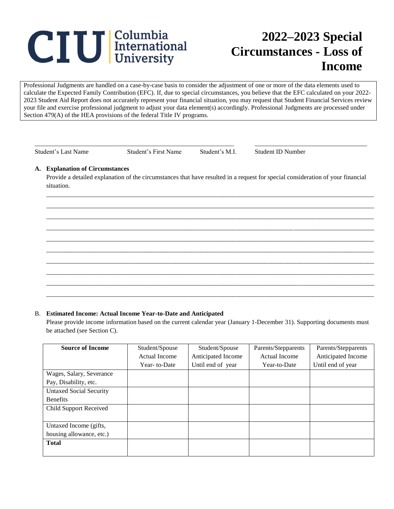# **CIU** International

# **2022–2023 Special Circumstances - Loss of Income**

Professional Judgments are handled on a case-by-case basis to consider the adjustment of one or more of the data elements used to calculate the Expected Family Contribution (EFC). If, due to special circumstances, you believe that the EFC calculated on your 2022- 2023 Student Aid Report does not accurately represent your financial situation, you may request that Student Financial Services review your file and exercise professional judgment to adjust your data element(s) accordingly. Professional Judgments are processed under Section 479(A) of the HEA provisions of the federal Title IV programs.

\_\_\_\_\_\_\_\_\_\_\_\_\_\_\_\_\_\_\_\_\_\_\_\_\_\_\_\_\_\_\_\_\_\_\_\_\_\_\_\_\_\_\_\_\_\_\_\_\_\_\_\_\_\_\_\_\_\_\_\_\_\_ \_\_\_\_\_\_\_\_\_\_\_\_\_\_\_\_\_\_\_\_\_\_\_\_\_\_\_\_\_\_\_\_\_\_\_

Student's Last Name Student's First Name Student's M.I. Student ID Number

## **A. Explanation of Circumstances**

Provide a detailed explanation of the circumstances that have resulted in a request for special consideration of your financial situation.

\_\_\_\_\_\_\_\_\_\_\_\_\_\_\_\_\_\_\_\_\_\_\_\_\_\_\_\_\_\_\_\_\_\_\_\_\_\_\_\_\_\_\_\_\_\_\_\_\_\_\_\_\_\_\_\_\_\_\_\_\_\_\_\_\_\_\_\_\_\_\_\_\_\_\_\_\_\_\_\_\_\_\_\_\_\_\_\_\_\_\_\_\_\_\_\_\_\_\_\_\_\_ \_\_\_\_\_\_\_\_\_\_\_\_\_\_\_\_\_\_\_\_\_\_\_\_\_\_\_\_\_\_\_\_\_\_\_\_\_\_\_\_\_\_\_\_\_\_\_\_\_\_\_\_\_\_\_\_\_\_\_\_\_\_\_\_\_\_\_\_\_\_\_\_\_\_\_\_\_\_\_\_\_\_\_\_\_\_\_\_\_\_\_\_\_\_\_\_\_\_\_\_\_\_ \_\_\_\_\_\_\_\_\_\_\_\_\_\_\_\_\_\_\_\_\_\_\_\_\_\_\_\_\_\_\_\_\_\_\_\_\_\_\_\_\_\_\_\_\_\_\_\_\_\_\_\_\_\_\_\_\_\_\_\_\_\_\_\_\_\_\_\_\_\_\_\_\_\_\_\_\_\_\_\_\_\_\_\_\_\_\_\_\_\_\_\_\_\_\_\_\_\_\_\_\_\_ \_\_\_\_\_\_\_\_\_\_\_\_\_\_\_\_\_\_\_\_\_\_\_\_\_\_\_\_\_\_\_\_\_\_\_\_\_\_\_\_\_\_\_\_\_\_\_\_\_\_\_\_\_\_\_\_\_\_\_\_\_\_\_\_\_\_\_\_\_\_\_\_\_\_\_\_\_\_\_\_\_\_\_\_\_\_\_\_\_\_\_\_\_\_\_\_\_\_\_\_\_\_ \_\_\_\_\_\_\_\_\_\_\_\_\_\_\_\_\_\_\_\_\_\_\_\_\_\_\_\_\_\_\_\_\_\_\_\_\_\_\_\_\_\_\_\_\_\_\_\_\_\_\_\_\_\_\_\_\_\_\_\_\_\_\_\_\_\_\_\_\_\_\_\_\_\_\_\_\_\_\_\_\_\_\_\_\_\_\_\_\_\_\_\_\_\_\_\_\_\_\_\_\_\_ \_\_\_\_\_\_\_\_\_\_\_\_\_\_\_\_\_\_\_\_\_\_\_\_\_\_\_\_\_\_\_\_\_\_\_\_\_\_\_\_\_\_\_\_\_\_\_\_\_\_\_\_\_\_\_\_\_\_\_\_\_\_\_\_\_\_\_\_\_\_\_\_\_\_\_\_\_\_\_\_\_\_\_\_\_\_\_\_\_\_\_\_\_\_\_\_\_\_\_\_\_\_ \_\_\_\_\_\_\_\_\_\_\_\_\_\_\_\_\_\_\_\_\_\_\_\_\_\_\_\_\_\_\_\_\_\_\_\_\_\_\_\_\_\_\_\_\_\_\_\_\_\_\_\_\_\_\_\_\_\_\_\_\_\_\_\_\_\_\_\_\_\_\_\_\_\_\_\_\_\_\_\_\_\_\_\_\_\_\_\_\_\_\_\_\_\_\_\_\_\_\_\_\_\_ \_\_\_\_\_\_\_\_\_\_\_\_\_\_\_\_\_\_\_\_\_\_\_\_\_\_\_\_\_\_\_\_\_\_\_\_\_\_\_\_\_\_\_\_\_\_\_\_\_\_\_\_\_\_\_\_\_\_\_\_\_\_\_\_\_\_\_\_\_\_\_\_\_\_\_\_\_\_\_\_\_\_\_\_\_\_\_\_\_\_\_\_\_\_\_\_\_\_\_\_\_\_ \_\_\_\_\_\_\_\_\_\_\_\_\_\_\_\_\_\_\_\_\_\_\_\_\_\_\_\_\_\_\_\_\_\_\_\_\_\_\_\_\_\_\_\_\_\_\_\_\_\_\_\_\_\_\_\_\_\_\_\_\_\_\_\_\_\_\_\_\_\_\_\_\_\_\_\_\_\_\_\_\_\_\_\_\_\_\_\_\_\_\_\_\_\_\_\_\_\_\_\_\_\_ \_\_\_\_\_\_\_\_\_\_\_\_\_\_\_\_\_\_\_\_\_\_\_\_\_\_\_\_\_\_\_\_\_\_\_\_\_\_\_\_\_\_\_\_\_\_\_\_\_\_\_\_\_\_\_\_\_\_\_\_\_\_\_\_\_\_\_\_\_\_\_\_\_\_\_\_\_\_\_\_\_\_\_\_\_\_\_\_\_\_\_\_\_\_\_\_\_\_\_\_\_\_

#### B. **Estimated Income: Actual Income Year-to-Date and Anticipated**

Please provide income information based on the current calendar year (January 1-December 31). Supporting documents must be attached (see Section C).

| <b>Source of Income</b>        | Student/Spouse | Student/Spouse     | Parents/Stepparents  | Parents/Stepparents |
|--------------------------------|----------------|--------------------|----------------------|---------------------|
|                                | Actual Income  | Anticipated Income | <b>Actual Income</b> | Anticipated Income  |
|                                | Year-to-Date   | Until end of year  | Year-to-Date         | Until end of year   |
| Wages, Salary, Severance       |                |                    |                      |                     |
| Pay, Disability, etc.          |                |                    |                      |                     |
| <b>Untaxed Social Security</b> |                |                    |                      |                     |
| <b>Benefits</b>                |                |                    |                      |                     |
| <b>Child Support Received</b>  |                |                    |                      |                     |
|                                |                |                    |                      |                     |
| Untaxed Income (gifts,         |                |                    |                      |                     |
| housing allowance, etc.)       |                |                    |                      |                     |
| <b>Total</b>                   |                |                    |                      |                     |
|                                |                |                    |                      |                     |